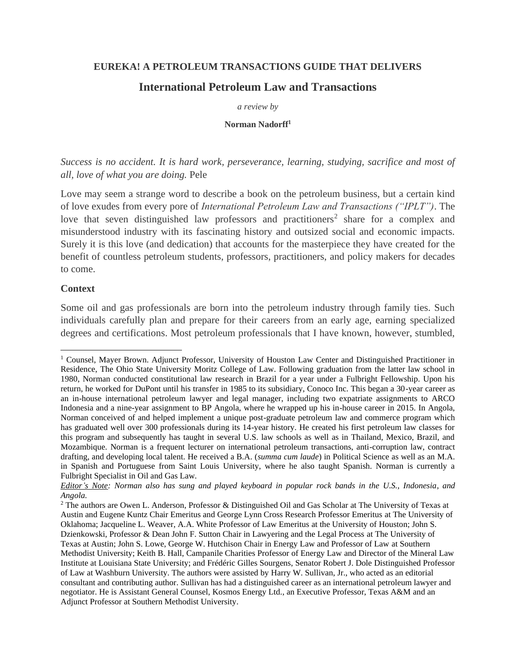#### **EUREKA! A PETROLEUM TRANSACTIONS GUIDE THAT DELIVERS**

# **International Petroleum Law and Transactions**

*a review by*

#### **Norman Nadorff<sup>1</sup>**

*Success is no accident. It is hard work, perseverance, learning, studying, sacrifice and most of all, love of what you are doing.* Pele

Love may seem a strange word to describe a book on the petroleum business, but a certain kind of love exudes from every pore of *International Petroleum Law and Transactions ("IPLT")*. The love that seven distinguished law professors and practitioners<sup>2</sup> share for a complex and misunderstood industry with its fascinating history and outsized social and economic impacts. Surely it is this love (and dedication) that accounts for the masterpiece they have created for the benefit of countless petroleum students, professors, practitioners, and policy makers for decades to come.

#### **Context**

Some oil and gas professionals are born into the petroleum industry through family ties. Such individuals carefully plan and prepare for their careers from an early age, earning specialized degrees and certifications. Most petroleum professionals that I have known, however, stumbled,

<sup>1</sup> Counsel, Mayer Brown. Adjunct Professor, University of Houston Law Center and Distinguished Practitioner in Residence, The Ohio State University Moritz College of Law. Following graduation from the latter law school in 1980, Norman conducted constitutional law research in Brazil for a year under a Fulbright Fellowship. Upon his return, he worked for DuPont until his transfer in 1985 to its subsidiary, Conoco Inc. This began a 30-year career as an in-house international petroleum lawyer and legal manager, including two expatriate assignments to ARCO Indonesia and a nine-year assignment to BP Angola, where he wrapped up his in-house career in 2015. In Angola, Norman conceived of and helped implement a unique post-graduate petroleum law and commerce program which has graduated well over 300 professionals during its 14-year history. He created his first petroleum law classes for this program and subsequently has taught in several U.S. law schools as well as in Thailand, Mexico, Brazil, and Mozambique. Norman is a frequent lecturer on international petroleum transactions, anti-corruption law, contract drafting, and developing local talent. He received a B.A. (*summa cum laude*) in Political Science as well as an M.A. in Spanish and Portuguese from Saint Louis University, where he also taught Spanish. Norman is currently a Fulbright Specialist in Oil and Gas Law.

*Editor's Note: Norman also has sung and played keyboard in popular rock bands in the U.S., Indonesia, and Angola.* 

<sup>&</sup>lt;sup>2</sup> The authors are Owen L. Anderson, Professor & Distinguished Oil and Gas Scholar at The University of Texas at Austin and Eugene Kuntz Chair Emeritus and George Lynn Cross Research Professor Emeritus at The University of Oklahoma; Jacqueline L. Weaver, A.A. White Professor of Law Emeritus at the University of Houston; John S. Dzienkowski, Professor & Dean John F. Sutton Chair in Lawyering and the Legal Process at The University of Texas at Austin; John S. Lowe, George W. Hutchison Chair in Energy Law and Professor of Law at Southern Methodist University; Keith B. Hall, Campanile Charities Professor of Energy Law and Director of the Mineral Law Institute at Louisiana State University; and Frédéric Gilles Sourgens, Senator Robert J. Dole Distinguished Professor of Law at Washburn University. The authors were assisted by Harry W. Sullivan, Jr., who acted as an editorial consultant and contributing author. Sullivan has had a distinguished career as an international petroleum lawyer and negotiator. He is Assistant General Counsel, Kosmos Energy Ltd., an Executive Professor, Texas A&M and an Adjunct Professor at Southern Methodist University.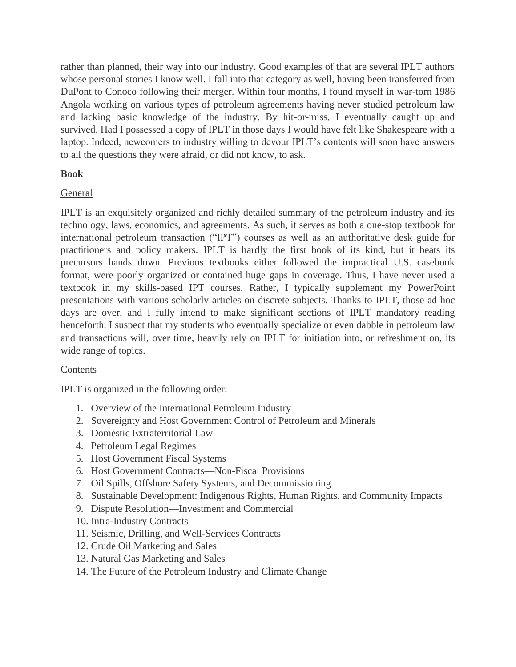rather than planned, their way into our industry. Good examples of that are several IPLT authors whose personal stories I know well. I fall into that category as well, having been transferred from DuPont to Conoco following their merger. Within four months, I found myself in war-torn 1986 Angola working on various types of petroleum agreements having never studied petroleum law and lacking basic knowledge of the industry. By hit-or-miss, I eventually caught up and survived. Had I possessed a copy of IPLT in those days I would have felt like Shakespeare with a laptop. Indeed, newcomers to industry willing to devour IPLT's contents will soon have answers to all the questions they were afraid, or did not know, to ask.

# **Book**

# General

IPLT is an exquisitely organized and richly detailed summary of the petroleum industry and its technology, laws, economics, and agreements. As such, it serves as both a one-stop textbook for international petroleum transaction ("IPT") courses as well as an authoritative desk guide for practitioners and policy makers. IPLT is hardly the first book of its kind, but it beats its precursors hands down. Previous textbooks either followed the impractical U.S. casebook format, were poorly organized or contained huge gaps in coverage. Thus, I have never used a textbook in my skills-based IPT courses. Rather, I typically supplement my PowerPoint presentations with various scholarly articles on discrete subjects. Thanks to IPLT, those ad hoc days are over, and I fully intend to make significant sections of IPLT mandatory reading henceforth. I suspect that my students who eventually specialize or even dabble in petroleum law and transactions will, over time, heavily rely on IPLT for initiation into, or refreshment on, its wide range of topics.

# Contents

IPLT is organized in the following order:

- 1. Overview of the International Petroleum Industry
- 2. Sovereignty and Host Government Control of Petroleum and Minerals
- 3. Domestic Extraterritorial Law
- 4. Petroleum Legal Regimes
- 5. Host Government Fiscal Systems
- 6. Host Government Contracts—Non-Fiscal Provisions
- 7. Oil Spills, Offshore Safety Systems, and Decommissioning
- 8. Sustainable Development: Indigenous Rights, Human Rights, and Community Impacts
- 9. Dispute Resolution—Investment and Commercial
- 10. Intra-Industry Contracts
- 11. Seismic, Drilling, and Well-Services Contracts
- 12. Crude Oil Marketing and Sales
- 13. Natural Gas Marketing and Sales
- 14. The Future of the Petroleum Industry and Climate Change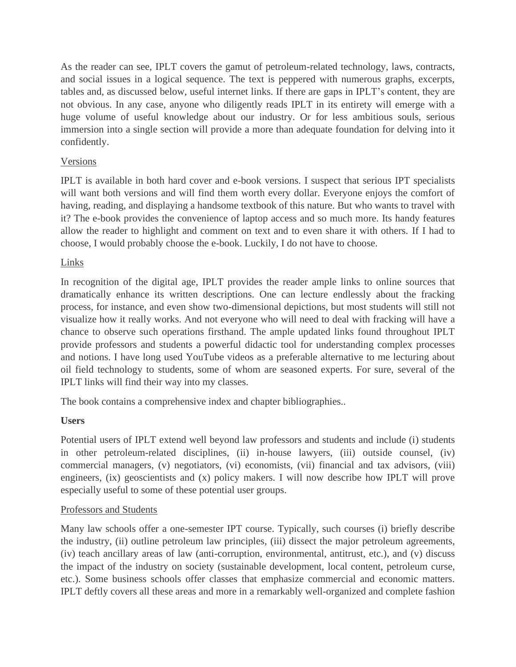As the reader can see, IPLT covers the gamut of petroleum-related technology, laws, contracts, and social issues in a logical sequence. The text is peppered with numerous graphs, excerpts, tables and, as discussed below, useful internet links. If there are gaps in IPLT's content, they are not obvious. In any case, anyone who diligently reads IPLT in its entirety will emerge with a huge volume of useful knowledge about our industry. Or for less ambitious souls, serious immersion into a single section will provide a more than adequate foundation for delving into it confidently.

## Versions

IPLT is available in both hard cover and e-book versions. I suspect that serious IPT specialists will want both versions and will find them worth every dollar. Everyone enjoys the comfort of having, reading, and displaying a handsome textbook of this nature. But who wants to travel with it? The e-book provides the convenience of laptop access and so much more. Its handy features allow the reader to highlight and comment on text and to even share it with others. If I had to choose, I would probably choose the e-book. Luckily, I do not have to choose.

# Links

In recognition of the digital age, IPLT provides the reader ample links to online sources that dramatically enhance its written descriptions. One can lecture endlessly about the fracking process, for instance, and even show two-dimensional depictions, but most students will still not visualize how it really works. And not everyone who will need to deal with fracking will have a chance to observe such operations firsthand. The ample updated links found throughout IPLT provide professors and students a powerful didactic tool for understanding complex processes and notions. I have long used YouTube videos as a preferable alternative to me lecturing about oil field technology to students, some of whom are seasoned experts. For sure, several of the IPLT links will find their way into my classes.

The book contains a comprehensive index and chapter bibliographies..

### **Users**

Potential users of IPLT extend well beyond law professors and students and include (i) students in other petroleum-related disciplines, (ii) in-house lawyers, (iii) outside counsel, (iv) commercial managers, (v) negotiators, (vi) economists, (vii) financial and tax advisors, (viii) engineers, (ix) geoscientists and (x) policy makers. I will now describe how IPLT will prove especially useful to some of these potential user groups.

### Professors and Students

Many law schools offer a one-semester IPT course. Typically, such courses (i) briefly describe the industry, (ii) outline petroleum law principles, (iii) dissect the major petroleum agreements, (iv) teach ancillary areas of law (anti-corruption, environmental, antitrust, etc.), and (v) discuss the impact of the industry on society (sustainable development, local content, petroleum curse, etc.). Some business schools offer classes that emphasize commercial and economic matters. IPLT deftly covers all these areas and more in a remarkably well-organized and complete fashion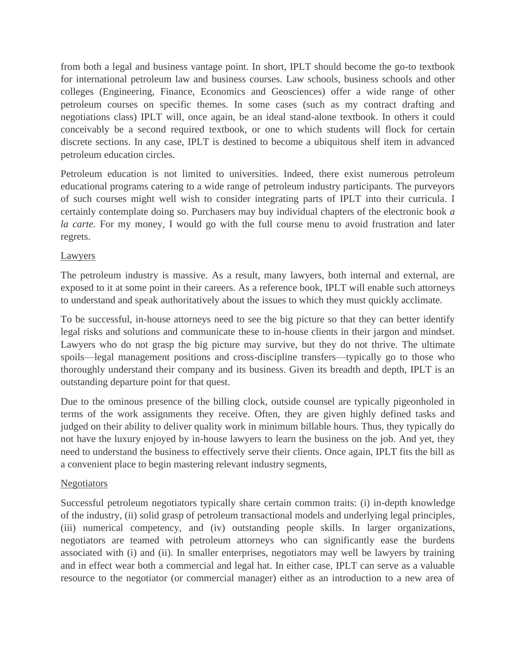from both a legal and business vantage point. In short, IPLT should become the go-to textbook for international petroleum law and business courses. Law schools, business schools and other colleges (Engineering, Finance, Economics and Geosciences) offer a wide range of other petroleum courses on specific themes. In some cases (such as my contract drafting and negotiations class) IPLT will, once again, be an ideal stand-alone textbook. In others it could conceivably be a second required textbook, or one to which students will flock for certain discrete sections. In any case, IPLT is destined to become a ubiquitous shelf item in advanced petroleum education circles.

Petroleum education is not limited to universities. Indeed, there exist numerous petroleum educational programs catering to a wide range of petroleum industry participants. The purveyors of such courses might well wish to consider integrating parts of IPLT into their curricula. I certainly contemplate doing so. Purchasers may buy individual chapters of the electronic book *a la carte.* For my money, I would go with the full course menu to avoid frustration and later regrets.

#### Lawyers

The petroleum industry is massive. As a result, many lawyers, both internal and external, are exposed to it at some point in their careers. As a reference book, IPLT will enable such attorneys to understand and speak authoritatively about the issues to which they must quickly acclimate.

To be successful, in-house attorneys need to see the big picture so that they can better identify legal risks and solutions and communicate these to in-house clients in their jargon and mindset. Lawyers who do not grasp the big picture may survive, but they do not thrive. The ultimate spoils—legal management positions and cross-discipline transfers—typically go to those who thoroughly understand their company and its business. Given its breadth and depth, IPLT is an outstanding departure point for that quest.

Due to the ominous presence of the billing clock, outside counsel are typically pigeonholed in terms of the work assignments they receive. Often, they are given highly defined tasks and judged on their ability to deliver quality work in minimum billable hours. Thus, they typically do not have the luxury enjoyed by in-house lawyers to learn the business on the job. And yet, they need to understand the business to effectively serve their clients. Once again, IPLT fits the bill as a convenient place to begin mastering relevant industry segments,

### **Negotiators**

Successful petroleum negotiators typically share certain common traits: (i) in-depth knowledge of the industry, (ii) solid grasp of petroleum transactional models and underlying legal principles, (iii) numerical competency, and (iv) outstanding people skills. In larger organizations, negotiators are teamed with petroleum attorneys who can significantly ease the burdens associated with (i) and (ii). In smaller enterprises, negotiators may well be lawyers by training and in effect wear both a commercial and legal hat. In either case, IPLT can serve as a valuable resource to the negotiator (or commercial manager) either as an introduction to a new area of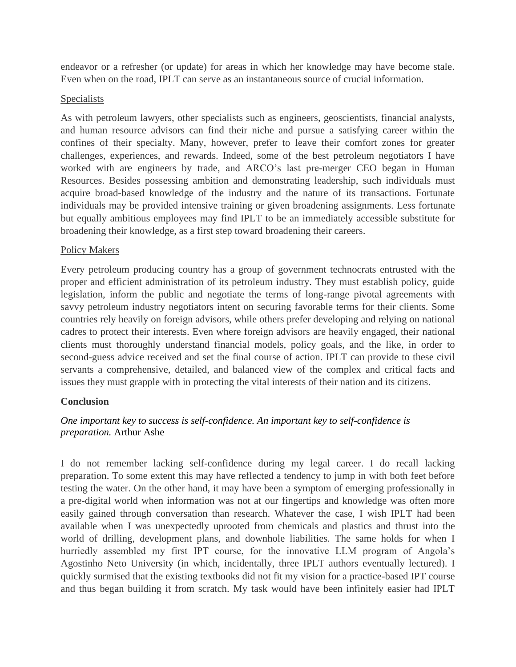endeavor or a refresher (or update) for areas in which her knowledge may have become stale. Even when on the road, IPLT can serve as an instantaneous source of crucial information.

#### **Specialists**

As with petroleum lawyers, other specialists such as engineers, geoscientists, financial analysts, and human resource advisors can find their niche and pursue a satisfying career within the confines of their specialty. Many, however, prefer to leave their comfort zones for greater challenges, experiences, and rewards. Indeed, some of the best petroleum negotiators I have worked with are engineers by trade, and ARCO's last pre-merger CEO began in Human Resources. Besides possessing ambition and demonstrating leadership, such individuals must acquire broad-based knowledge of the industry and the nature of its transactions. Fortunate individuals may be provided intensive training or given broadening assignments. Less fortunate but equally ambitious employees may find IPLT to be an immediately accessible substitute for broadening their knowledge, as a first step toward broadening their careers.

#### Policy Makers

Every petroleum producing country has a group of government technocrats entrusted with the proper and efficient administration of its petroleum industry. They must establish policy, guide legislation, inform the public and negotiate the terms of long-range pivotal agreements with savvy petroleum industry negotiators intent on securing favorable terms for their clients. Some countries rely heavily on foreign advisors, while others prefer developing and relying on national cadres to protect their interests. Even where foreign advisors are heavily engaged, their national clients must thoroughly understand financial models, policy goals, and the like, in order to second-guess advice received and set the final course of action. IPLT can provide to these civil servants a comprehensive, detailed, and balanced view of the complex and critical facts and issues they must grapple with in protecting the vital interests of their nation and its citizens.

### **Conclusion**

# *One important key to success is self-confidence. An important key to self-confidence is preparation.* [Arthur Ashe](https://www.brainyquote.com/authors/arthur-ashe-quotes)

I do not remember lacking self-confidence during my legal career. I do recall lacking preparation. To some extent this may have reflected a tendency to jump in with both feet before testing the water. On the other hand, it may have been a symptom of emerging professionally in a pre-digital world when information was not at our fingertips and knowledge was often more easily gained through conversation than research. Whatever the case, I wish IPLT had been available when I was unexpectedly uprooted from chemicals and plastics and thrust into the world of drilling, development plans, and downhole liabilities. The same holds for when I hurriedly assembled my first IPT course, for the innovative LLM program of Angola's Agostinho Neto University (in which, incidentally, three IPLT authors eventually lectured). I quickly surmised that the existing textbooks did not fit my vision for a practice-based IPT course and thus began building it from scratch. My task would have been infinitely easier had IPLT